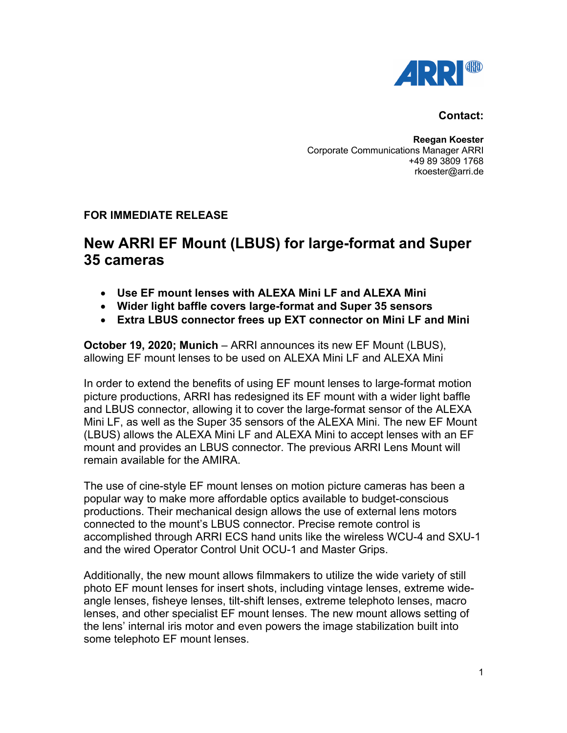

## **Contact:**

**Reegan Koester** Corporate Communications Manager ARRI +49 89 3809 1768 rkoester@arri.de

## **FOR IMMEDIATE RELEASE**

## **New ARRI EF Mount (LBUS) for large-format and Super 35 cameras**

- **Use EF mount lenses with ALEXA Mini LF and ALEXA Mini**
- **Wider light baffle covers large-format and Super 35 sensors**
- **Extra LBUS connector frees up EXT connector on Mini LF and Mini**

**October 19, 2020; Munich** – ARRI announces its new EF Mount (LBUS), allowing EF mount lenses to be used on ALEXA Mini LF and ALEXA Mini

In order to extend the benefits of using EF mount lenses to large-format motion picture productions, ARRI has redesigned its EF mount with a wider light baffle and LBUS connector, allowing it to cover the large-format sensor of the ALEXA Mini LF, as well as the Super 35 sensors of the ALEXA Mini. The new EF Mount (LBUS) allows the ALEXA Mini LF and ALEXA Mini to accept lenses with an EF mount and provides an LBUS connector. The previous ARRI Lens Mount will remain available for the AMIRA.

The use of cine-style EF mount lenses on motion picture cameras has been a popular way to make more affordable optics available to budget-conscious productions. Their mechanical design allows the use of external lens motors connected to the mount's LBUS connector. Precise remote control is accomplished through ARRI ECS hand units like the wireless WCU-4 and SXU-1 and the wired Operator Control Unit OCU-1 and Master Grips.

Additionally, the new mount allows filmmakers to utilize the wide variety of still photo EF mount lenses for insert shots, including vintage lenses, extreme wideangle lenses, fisheye lenses, tilt-shift lenses, extreme telephoto lenses, macro lenses, and other specialist EF mount lenses. The new mount allows setting of the lens' internal iris motor and even powers the image stabilization built into some telephoto EF mount lenses.